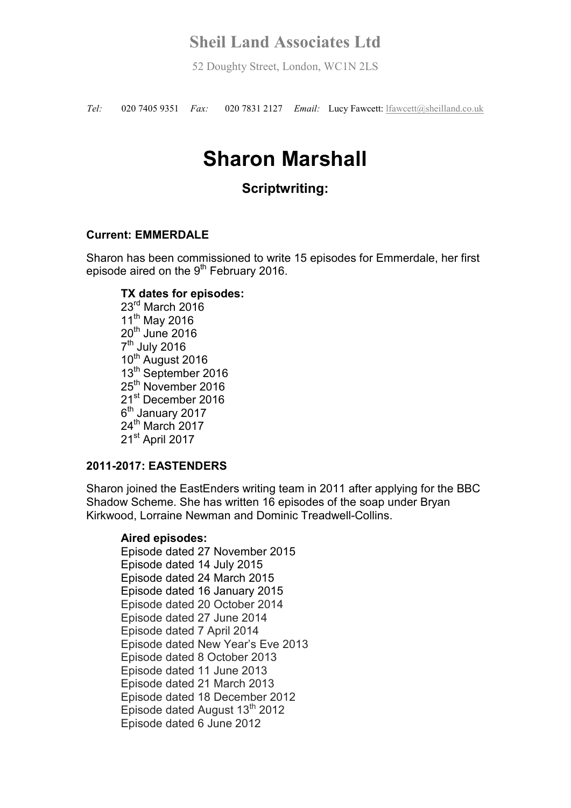52 Doughty Street, London, WC1N 2LS

*Tel:* 020 7405 9351 *Fax:* 020 7831 2127 *Email:* Lucy Fawcett: lfawcett@sheilland.co.uk

# **Sharon Marshall**

## **Scriptwriting:**

#### **Current: EMMERDALE**

Sharon has been commissioned to write 15 episodes for Emmerdale, her first episode aired on the  $9<sup>th</sup>$  February 2016.

#### **TX dates for episodes:**

 $23<sup>rd</sup>$  March 2016 11<sup>th</sup> May 2016 20<sup>th</sup> June 2016 7<sup>th</sup> July 2016 10<sup>th</sup> August 2016 13<sup>th</sup> September 2016 25<sup>th</sup> November 2016 21st December 2016 6<sup>th</sup> January 2017 24<sup>th</sup> March 2017 21<sup>st</sup> April 2017

#### **2011-2017: EASTENDERS**

Sharon joined the EastEnders writing team in 2011 after applying for the BBC Shadow Scheme. She has written 16 episodes of the soap under Bryan Kirkwood, Lorraine Newman and Dominic Treadwell-Collins.

#### **Aired episodes:**

Episode dated 27 November 2015 Episode dated 14 July 2015 Episode dated 24 March 2015 Episode dated 16 January 2015 Episode dated 20 October 2014 Episode dated 27 June 2014 Episode dated 7 April 2014 Episode dated New Year's Eve 2013 Episode dated 8 October 2013 Episode dated 11 June 2013 Episode dated 21 March 2013 Episode dated 18 December 2012 Episode dated August 13<sup>th</sup> 2012 Episode dated 6 June 2012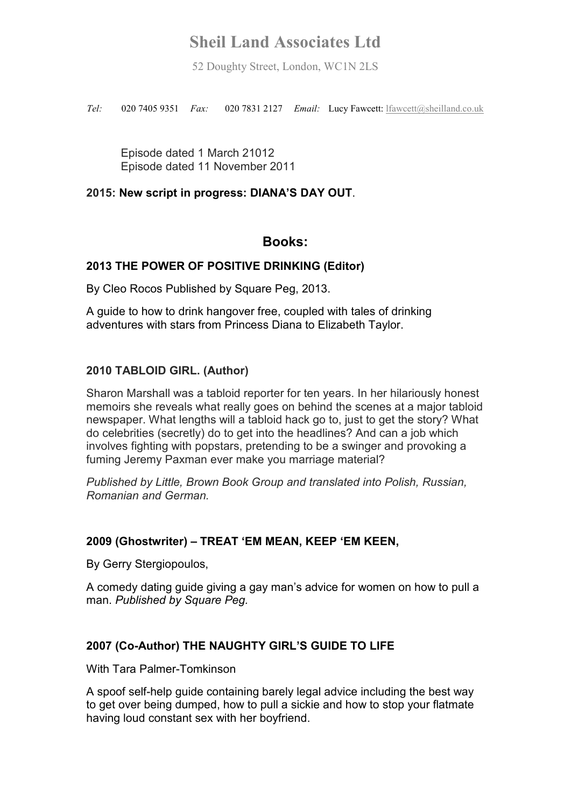52 Doughty Street, London, WC1N 2LS

*Tel:* 020 7405 9351 *Fax:* 020 7831 2127 *Email:* Lucy Fawcett: lfawcett@sheilland.co.uk

Episode dated 1 March 21012 Episode dated 11 November 2011

#### **2015: New script in progress: DIANA'S DAY OUT**.

### **Books:**

#### **2013 THE POWER OF POSITIVE DRINKING (Editor)**

By Cleo Rocos Published by Square Peg, 2013.

A guide to how to drink hangover free, coupled with tales of drinking adventures with stars from Princess Diana to Elizabeth Taylor.

#### **2010 TABLOID GIRL. (Author)**

Sharon Marshall was a tabloid reporter for ten years. In her hilariously honest memoirs she reveals what really goes on behind the scenes at a major tabloid newspaper. What lengths will a tabloid hack go to, just to get the story? What do celebrities (secretly) do to get into the headlines? And can a job which involves fighting with popstars, pretending to be a swinger and provoking a fuming Jeremy Paxman ever make you marriage material?

*Published by Little, Brown Book Group and translated into Polish, Russian, Romanian and German.*

#### **2009 (Ghostwriter) – TREAT 'EM MEAN, KEEP 'EM KEEN,**

By Gerry Stergiopoulos,

A comedy dating guide giving a gay man's advice for women on how to pull a man. *Published by Square Peg.*

#### **2007 (Co-Author) THE NAUGHTY GIRL'S GUIDE TO LIFE**

With Tara Palmer-Tomkinson

A spoof self-help guide containing barely legal advice including the best way to get over being dumped, how to pull a sickie and how to stop your flatmate having loud constant sex with her boyfriend.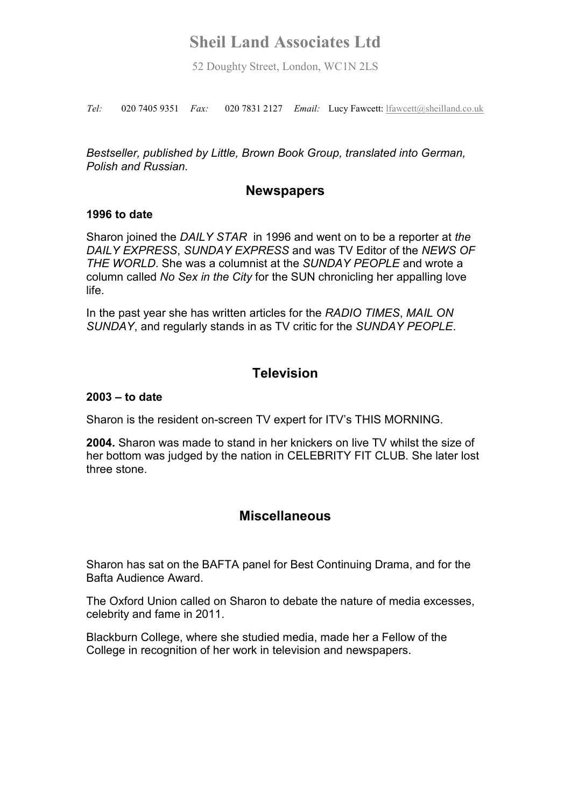52 Doughty Street, London, WC1N 2LS

*Tel:* 020 7405 9351 *Fax:* 020 7831 2127 *Email:* Lucy Fawcett: lfawcett@sheilland.co.uk

*Bestseller, published by Little, Brown Book Group, translated into German, Polish and Russian.* 

### **Newspapers**

#### **1996 to date**

Sharon joined the *DAILY STAR* in 1996 and went on to be a reporter at *the DAILY EXPRESS*, *SUNDAY EXPRESS* and was TV Editor of the *NEWS OF THE WORLD*. She was a columnist at the *SUNDAY PEOPLE* and wrote a column called *No Sex in the City* for the SUN chronicling her appalling love life.

In the past year she has written articles for the *RADIO TIMES*, *MAIL ON SUNDAY*, and regularly stands in as TV critic for the *SUNDAY PEOPLE*.

## **Television**

#### **2003 – to date**

Sharon is the resident on-screen TV expert for ITV's THIS MORNING.

**2004.** Sharon was made to stand in her knickers on live TV whilst the size of her bottom was judged by the nation in CELEBRITY FIT CLUB*.* She later lost three stone.

### **Miscellaneous**

Sharon has sat on the BAFTA panel for Best Continuing Drama, and for the Bafta Audience Award.

The Oxford Union called on Sharon to debate the nature of media excesses, celebrity and fame in 2011.

Blackburn College, where she studied media, made her a Fellow of the College in recognition of her work in television and newspapers.